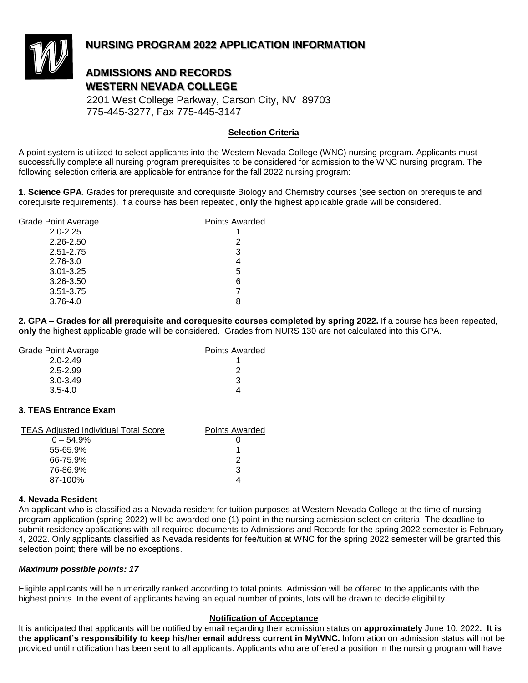

# **NURSING PROGRAM 2022 APPLICATION INFORMATION**

# **ADMISSIONS AND RECORDS WESTERN NEVADA COLLEGE**

 2201 West College Parkway, Carson City, NV 89703 775-445-3277, Fax 775-445-3147

### **Selection Criteria**

A point system is utilized to select applicants into the Western Nevada College (WNC) nursing program. Applicants must successfully complete all nursing program prerequisites to be considered for admission to the WNC nursing program. The following selection criteria are applicable for entrance for the fall 2022 nursing program:

**1. Science GPA**. Grades for prerequisite and corequisite Biology and Chemistry courses (see section on prerequisite and corequisite requirements). If a course has been repeated, **only** the highest applicable grade will be considered.

| <b>Grade Point Average</b> | <b>Points Awarded</b> |
|----------------------------|-----------------------|
| $2.0 - 2.25$               |                       |
| 2.26-2.50                  | 2                     |
| 2.51-2.75                  | 3                     |
| 2.76-3.0                   |                       |
| $3.01 - 3.25$              | 5                     |
| 3.26-3.50                  | 6                     |
| 3.51-3.75                  |                       |
| $3.76 - 4.0$               |                       |

**2. GPA – Grades for all prerequisite and corequesite courses completed by spring 2022.** If a course has been repeated, **only** the highest applicable grade will be considered. Grades from NURS 130 are not calculated into this GPA.

| Grade Point Average | <b>Points Awarded</b> |
|---------------------|-----------------------|
| $2.0 - 2.49$        |                       |
| 2.5-2.99            |                       |
| $3.0 - 3.49$        | 3                     |
| $3.5 - 4.0$         |                       |

### **3. TEAS Entrance Exam**

| <b>TEAS Adjusted Individual Total Score</b> | <b>Points Awarded</b> |
|---------------------------------------------|-----------------------|
| $0 - 54.9%$                                 |                       |
| 55-65.9%                                    |                       |
| 66-75.9%                                    | 2                     |
| 76-86.9%                                    | 3                     |
| 87-100%                                     |                       |

### **4. Nevada Resident**

An applicant who is classified as a Nevada resident for tuition purposes at Western Nevada College at the time of nursing program application (spring 2022) will be awarded one (1) point in the nursing admission selection criteria. The deadline to submit residency applications with all required documents to Admissions and Records for the spring 2022 semester is February 4, 2022. Only applicants classified as Nevada residents for fee/tuition at WNC for the spring 2022 semester will be granted this selection point; there will be no exceptions.

### *Maximum possible points: 17*

Eligible applicants will be numerically ranked according to total points. Admission will be offered to the applicants with the highest points. In the event of applicants having an equal number of points, lots will be drawn to decide eligibility.

### **Notification of Acceptance**

It is anticipated that applicants will be notified by email regarding their admission status on **approximately** June 10**,** 2022**. It is the applicant's responsibility to keep his/her email address current in MyWNC.** Information on admission status will not be provided until notification has been sent to all applicants. Applicants who are offered a position in the nursing program will have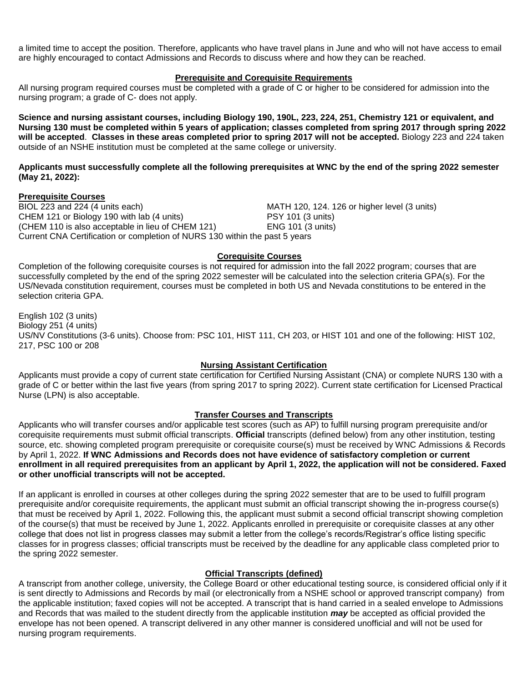a limited time to accept the position. Therefore, applicants who have travel plans in June and who will not have access to email are highly encouraged to contact Admissions and Records to discuss where and how they can be reached.

### **Prerequisite and Corequisite Requirements**

All nursing program required courses must be completed with a grade of C or higher to be considered for admission into the nursing program; a grade of C- does not apply.

**Science and nursing assistant courses, including Biology 190, 190L, 223, 224, 251, Chemistry 121 or equivalent, and Nursing 130 must be completed within 5 years of application; classes completed from spring 2017 through spring 2022 will be accepted**. **Classes in these areas completed prior to spring 2017 will not be accepted.** Biology 223 and 224 taken outside of an NSHE institution must be completed at the same college or university.

**Applicants must successfully complete all the following prerequisites at WNC by the end of the spring 2022 semester (May 21, 2022):**

### **Prerequisite Courses**

BIOL 223 and 224 (4 units each) MATH 120, 124. 126 or higher level (3 units) CHEM 121 or Biology 190 with lab (4 units) PSY 101 (3 units) (CHEM 110 is also acceptable in lieu of CHEM 121) ENG 101 (3 units) Current CNA Certification or completion of NURS 130 within the past 5 years

### **Corequisite Courses**

Completion of the following corequisite courses is not required for admission into the fall 2022 program; courses that are successfully completed by the end of the spring 2022 semester will be calculated into the selection criteria GPA(s). For the US/Nevada constitution requirement, courses must be completed in both US and Nevada constitutions to be entered in the selection criteria GPA.

English 102 (3 units) Biology 251 (4 units) US/NV Constitutions (3-6 units). Choose from: PSC 101, HIST 111, CH 203, or HIST 101 and one of the following: HIST 102, 217, PSC 100 or 208

### **Nursing Assistant Certification**

Applicants must provide a copy of current state certification for Certified Nursing Assistant (CNA) or complete NURS 130 with a grade of C or better within the last five years (from spring 2017 to spring 2022). Current state certification for Licensed Practical Nurse (LPN) is also acceptable.

### **Transfer Courses and Transcripts**

Applicants who will transfer courses and/or applicable test scores (such as AP) to fulfill nursing program prerequisite and/or corequisite requirements must submit official transcripts. **Official** transcripts (defined below) from any other institution, testing source, etc. showing completed program prerequisite or corequisite course(s) must be received by WNC Admissions & Records by April 1, 2022. **If WNC Admissions and Records does not have evidence of satisfactory completion or current enrollment in all required prerequisites from an applicant by April 1, 2022, the application will not be considered. Faxed or other unofficial transcripts will not be accepted.**

If an applicant is enrolled in courses at other colleges during the spring 2022 semester that are to be used to fulfill program prerequisite and/or corequisite requirements, the applicant must submit an official transcript showing the in-progress course(s) that must be received by April 1, 2022. Following this, the applicant must submit a second official transcript showing completion of the course(s) that must be received by June 1, 2022. Applicants enrolled in prerequisite or corequisite classes at any other college that does not list in progress classes may submit a letter from the college's records/Registrar's office listing specific classes for in progress classes; official transcripts must be received by the deadline for any applicable class completed prior to the spring 2022 semester.

### **Official Transcripts (defined)**

A transcript from another college, university, the College Board or other educational testing source, is considered official only if it is sent directly to Admissions and Records by mail (or electronically from a NSHE school or approved transcript company) from the applicable institution; faxed copies will not be accepted. A transcript that is hand carried in a sealed envelope to Admissions and Records that was mailed to the student directly from the applicable institution *may* be accepted as official provided the envelope has not been opened. A transcript delivered in any other manner is considered unofficial and will not be used for nursing program requirements.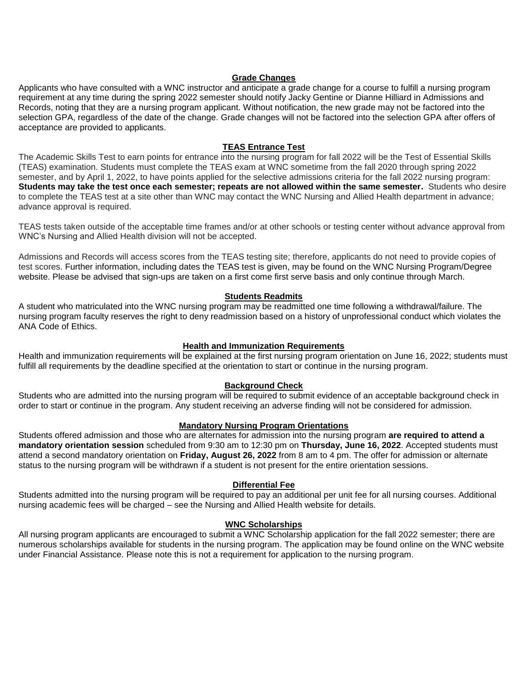### **Grade Changes**

Applicants who have consulted with a WNC instructor and anticipate a grade change for a course to fulfill a nursing program requirement at any time during the spring 2022 semester should notify Jacky Gentine or Dianne Hilliard in Admissions and Records, noting that they are a nursing program applicant. Without notification, the new grade may not be factored into the selection GPA, regardless of the date of the change. Grade changes will not be factored into the selection GPA after offers of acceptance are provided to applicants.

### **TEAS Entrance Test**

The Academic Skills Test to earn points for entrance into the nursing program for fall 2022 will be the Test of Essential Skills (TEAS) examination. Students must complete the TEAS exam at WNC sometime from the fall 2020 through spring 2022 semester, and by April 1, 2022, to have points applied for the selective admissions criteria for the fall 2022 nursing program: **Students may take the test once each semester; repeats are not allowed within the same semester.** Students who desire to complete the TEAS test at a site other than WNC may contact the WNC Nursing and Allied Health department in advance; advance approval is required.

TEAS tests taken outside of the acceptable time frames and/or at other schools or testing center without advance approval from WNC's Nursing and Allied Health division will not be accepted.

Admissions and Records will access scores from the TEAS testing site; therefore, applicants do not need to provide copies of test scores. Further information, including dates the TEAS test is given, may be found on the WNC Nursing Program/Degree website. Please be advised that sign-ups are taken on a first come first serve basis and only continue through March.

### **Students Readmits**

A student who matriculated into the WNC nursing program may be readmitted one time following a withdrawal/failure. The nursing program faculty reserves the right to deny readmission based on a history of unprofessional conduct which violates the ANA Code of Ethics.

### **Health and Immunization Requirements**

Health and immunization requirements will be explained at the first nursing program orientation on June 16, 2022; students must fulfill all requirements by the deadline specified at the orientation to start or continue in the nursing program.

### **Background Check**

Students who are admitted into the nursing program will be required to submit evidence of an acceptable background check in order to start or continue in the program. Any student receiving an adverse finding will not be considered for admission.

### **Mandatory Nursing Program Orientations**

Students offered admission and those who are alternates for admission into the nursing program **are required to attend a mandatory orientation session** scheduled from 9:30 am to 12:30 pm on **Thursday, June 16, 2022**. Accepted students must attend a second mandatory orientation on **Friday, August 26, 2022** from 8 am to 4 pm. The offer for admission or alternate status to the nursing program will be withdrawn if a student is not present for the entire orientation sessions.

### **Differential Fee**

Students admitted into the nursing program will be required to pay an additional per unit fee for all nursing courses. Additional nursing academic fees will be charged – see the Nursing and Allied Health website for details.

### **WNC Scholarships**

All nursing program applicants are encouraged to submit a WNC Scholarship application for the fall 2022 semester; there are numerous scholarships available for students in the nursing program. The application may be found online on the WNC website under Financial Assistance. Please note this is not a requirement for application to the nursing program.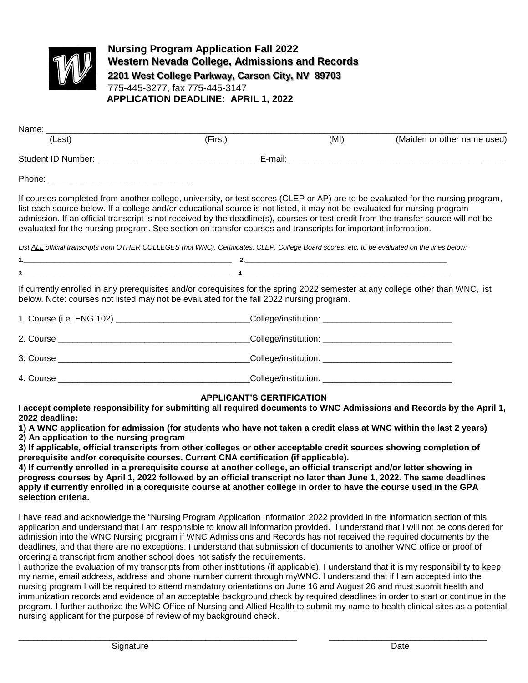

**Nursing Program Application Fall 2022 Western Nevada College, Admissions and Records 2201 West College Parkway, Carson City, NV 89703** 775-445-3277, fax 775-445-3147 **APPLICATION DEADLINE: APRIL 1, 2022**

| (Last)                                                                                                                                                                                                                                                                                                                                                                                                                                                                                                                                                                                                                                                                   | (First) |  | (MI) | (Maiden or other name used) |  |  |
|--------------------------------------------------------------------------------------------------------------------------------------------------------------------------------------------------------------------------------------------------------------------------------------------------------------------------------------------------------------------------------------------------------------------------------------------------------------------------------------------------------------------------------------------------------------------------------------------------------------------------------------------------------------------------|---------|--|------|-----------------------------|--|--|
|                                                                                                                                                                                                                                                                                                                                                                                                                                                                                                                                                                                                                                                                          |         |  |      |                             |  |  |
|                                                                                                                                                                                                                                                                                                                                                                                                                                                                                                                                                                                                                                                                          |         |  |      |                             |  |  |
| If courses completed from another college, university, or test scores (CLEP or AP) are to be evaluated for the nursing program,<br>list each source below. If a college and/or educational source is not listed, it may not be evaluated for nursing program<br>admission. If an official transcript is not received by the deadline(s), courses or test credit from the transfer source will not be<br>evaluated for the nursing program. See section on transfer courses and transcripts for important information.<br>List ALL official transcripts from OTHER COLLEGES (not WNC), Certificates, CLEP, College Board scores, etc. to be evaluated on the lines below: |         |  |      |                             |  |  |
|                                                                                                                                                                                                                                                                                                                                                                                                                                                                                                                                                                                                                                                                          |         |  |      |                             |  |  |
| If currently enrolled in any prerequisites and/or corequisites for the spring 2022 semester at any college other than WNC, list<br>below. Note: courses not listed may not be evaluated for the fall 2022 nursing program.                                                                                                                                                                                                                                                                                                                                                                                                                                               |         |  |      |                             |  |  |
| 1. Course (i.e. ENG 102) ______________________________College/institution: ________________________                                                                                                                                                                                                                                                                                                                                                                                                                                                                                                                                                                     |         |  |      |                             |  |  |
|                                                                                                                                                                                                                                                                                                                                                                                                                                                                                                                                                                                                                                                                          |         |  |      |                             |  |  |
|                                                                                                                                                                                                                                                                                                                                                                                                                                                                                                                                                                                                                                                                          |         |  |      |                             |  |  |

4. Course \_\_\_\_\_\_\_\_\_\_\_\_\_\_\_\_\_\_\_\_\_\_\_\_\_\_\_\_\_\_\_\_\_\_\_\_\_\_\_\_College/institution: \_\_\_\_\_\_\_\_\_\_\_\_\_\_\_\_\_\_\_\_\_\_\_\_\_\_\_

# **APPLICANT'S CERTIFICATION**

**I accept complete responsibility for submitting all required documents to WNC Admissions and Records by the April 1, 2022 deadline:**

**1) A WNC application for admission (for students who have not taken a credit class at WNC within the last 2 years) 2) An application to the nursing program**

**3) If applicable, official transcripts from other colleges or other acceptable credit sources showing completion of prerequisite and/or corequisite courses. Current CNA certification (if applicable).**

**4) If currently enrolled in a prerequisite course at another college, an official transcript and/or letter showing in progress courses by April 1, 2022 followed by an official transcript no later than June 1, 2022. The same deadlines apply if currently enrolled in a corequisite course at another college in order to have the course used in the GPA selection criteria.**

I have read and acknowledge the "Nursing Program Application Information 2022 provided in the information section of this application and understand that I am responsible to know all information provided. I understand that I will not be considered for admission into the WNC Nursing program if WNC Admissions and Records has not received the required documents by the deadlines, and that there are no exceptions. I understand that submission of documents to another WNC office or proof of ordering a transcript from another school does not satisfy the requirements.

I authorize the evaluation of my transcripts from other institutions (if applicable). I understand that it is my responsibility to keep my name, email address, address and phone number current through myWNC. I understand that if I am accepted into the nursing program I will be required to attend mandatory orientations on June 16 and August 26 and must submit health and immunization records and evidence of an acceptable background check by required deadlines in order to start or continue in the program. I further authorize the WNC Office of Nursing and Allied Health to submit my name to health clinical sites as a potential nursing applicant for the purpose of review of my background check.

\_\_\_\_\_\_\_\_\_\_\_\_\_\_\_\_\_\_\_\_\_\_\_\_\_\_\_\_\_\_\_\_\_\_\_\_\_\_\_\_\_\_\_\_\_\_\_\_\_\_\_\_\_\_\_\_\_\_ \_\_\_\_\_\_\_\_\_\_\_\_\_\_\_\_\_\_\_\_\_\_\_\_\_\_\_\_\_\_\_\_\_